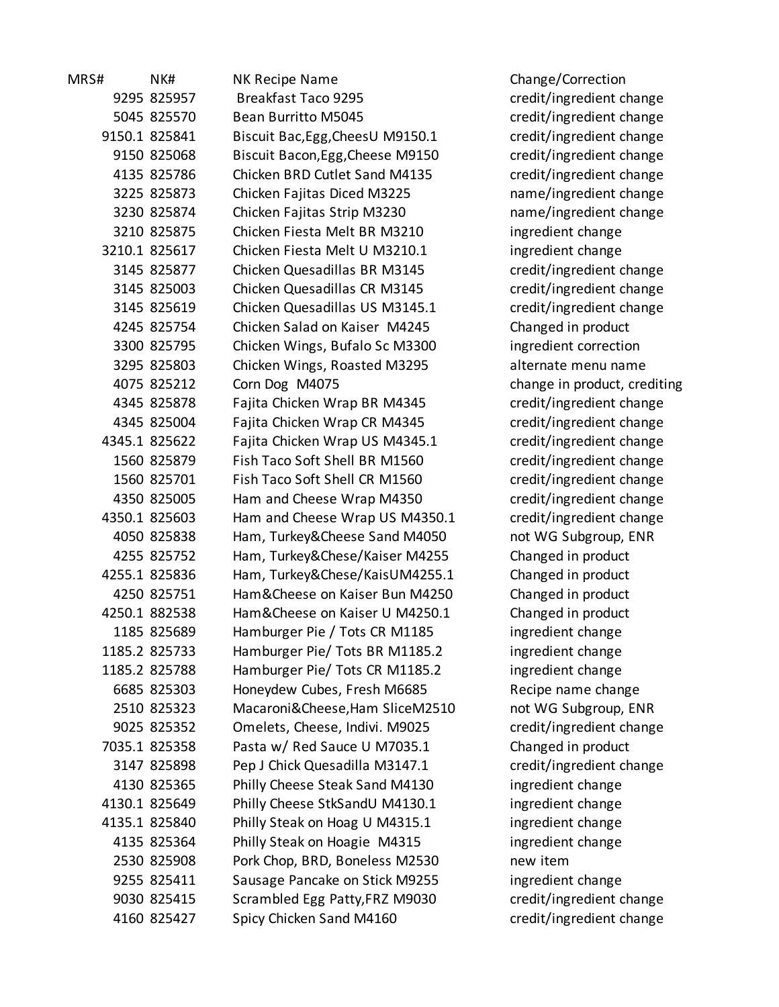| 1KS# | IN K#         |                      |
|------|---------------|----------------------|
|      | 9295 825957   |                      |
|      | 5045 825570   |                      |
|      | 9150.1 825841 |                      |
|      | 9150 825068   |                      |
|      | 4135 825786   |                      |
|      | 3225 825873   |                      |
|      | 3230 825874   |                      |
|      | 3210 825875   |                      |
|      | 3210.1 825617 |                      |
|      | 3145 825877   |                      |
|      | 3145 825003   |                      |
|      | 3145 825619   |                      |
|      | 4245 825754   |                      |
|      | 3300 825795   |                      |
|      | 3295 825803   |                      |
|      | 4075 825212   |                      |
|      | 4345 825878   |                      |
|      | 4345 825004   |                      |
|      | 4345.1 825622 |                      |
|      | 1560 825879   |                      |
|      | 1560 825701   |                      |
|      | 4350 825005   |                      |
|      | 4350.1 825603 |                      |
|      | 4050 825838   |                      |
|      | 4255 825752   |                      |
|      | 4255.1 825836 |                      |
|      | 4250 825751   |                      |
|      | 4250.1 882538 |                      |
|      | 1185 825689   |                      |
|      | 1185.2 825733 |                      |
|      | 1185.2 825788 |                      |
|      | 6685 825303   |                      |
|      | 2510 825323   |                      |
|      | 9025 825352   |                      |
|      | 7035.1 825358 |                      |
|      | 3147 825898   |                      |
|      | 4130 825365   |                      |
|      | 4130.1 825649 |                      |
|      | 4135.1 825840 |                      |
|      | 4135 825364   |                      |
|      | 2530 825908   |                      |
|      | 9255 825411   |                      |
|      | 9030 825415   |                      |
|      | 4160 825427   | $\ddot{\phantom{0}}$ |
|      |               |                      |

MRS# NK# NK Recipe Name Change/Correction Breakfast Taco 9295 credit/ingredient change 5045 825570 Bean Burritto M5045 credit/ingredient change 9150.1 825841 Biscuit Bac,Egg,CheesU M9150.1 credit/ingredient change Biscuit Bacon,Egg,Cheese M9150 credit/ingredient change Chicken BRD Cutlet Sand M4135 credit/ingredient change 3225 825873 Chicken Fajitas Diced M3225 name/ingredient change 3230 825874 Chicken Fajitas Strip M3230 name/ingredient change Chicken Fiesta Melt BR M3210 ingredient change Chicken Fiesta Melt U M3210.1 ingredient change 3145 825877 Chicken Quesadillas BR M3145 credit/ingredient change Chicken Quesadillas CR M3145 credit/ingredient change Chicken Quesadillas US M3145.1 credit/ingredient change Chicken Salad on Kaiser M4245 Changed in product 3300 825795 Chicken Wings, Bufalo Sc M3300 ingredient correction Chicken Wings, Roasted M3295 alternate menu name Corn Dog M4075 change in product, crediting Fajita Chicken Wrap BR M4345 credit/ingredient change Fajita Chicken Wrap CR M4345 credit/ingredient change Fajita Chicken Wrap US M4345.1 credit/ingredient change Fish Taco Soft Shell BR M1560 credit/ingredient change Fish Taco Soft Shell CR M1560 credit/ingredient change Ham and Cheese Wrap M4350 eredit/ingredient change Ham and Cheese Wrap US M4350.1 credit/ingredient change Ham, Turkey&Cheese Sand M4050 not WG Subgroup, ENR Ham, Turkey&Chese/Kaiser M4255 Changed in product Ham, Turkey&Chese/KaisUM4255.1 Changed in product Ham&Cheese on Kaiser Bun M4250 Changed in product Ham&Cheese on Kaiser U M4250.1 Changed in product Hamburger Pie / Tots CR M1185 ingredient change Hamburger Pie/ Tots BR M1185.2 ingredient change Hamburger Pie/ Tots CR M1185.2 ingredient change Honeydew Cubes, Fresh M6685 Recipe name change Macaroni&Cheese,Ham SliceM2510 not WG Subgroup, ENR Omelets, Cheese, Indivi. M9025 credit/ingredient change Pasta w/ Red Sauce U M7035.1 Changed in product Pep J Chick Quesadilla M3147.1 credit/ingredient change Philly Cheese Steak Sand M4130 ingredient change Philly Cheese StkSandU M4130.1 ingredient change Philly Steak on Hoag U M4315.1 ingredient change Philly Steak on Hoagie M4315 ingredient change Pork Chop, BRD, Boneless M2530 new item Sausage Pancake on Stick M9255 ingredient change Scrambled Egg Patty,FRZ M9030 credit/ingredient change 4160 825427 Spicy Chicken Sand M4160 credit/ingredient change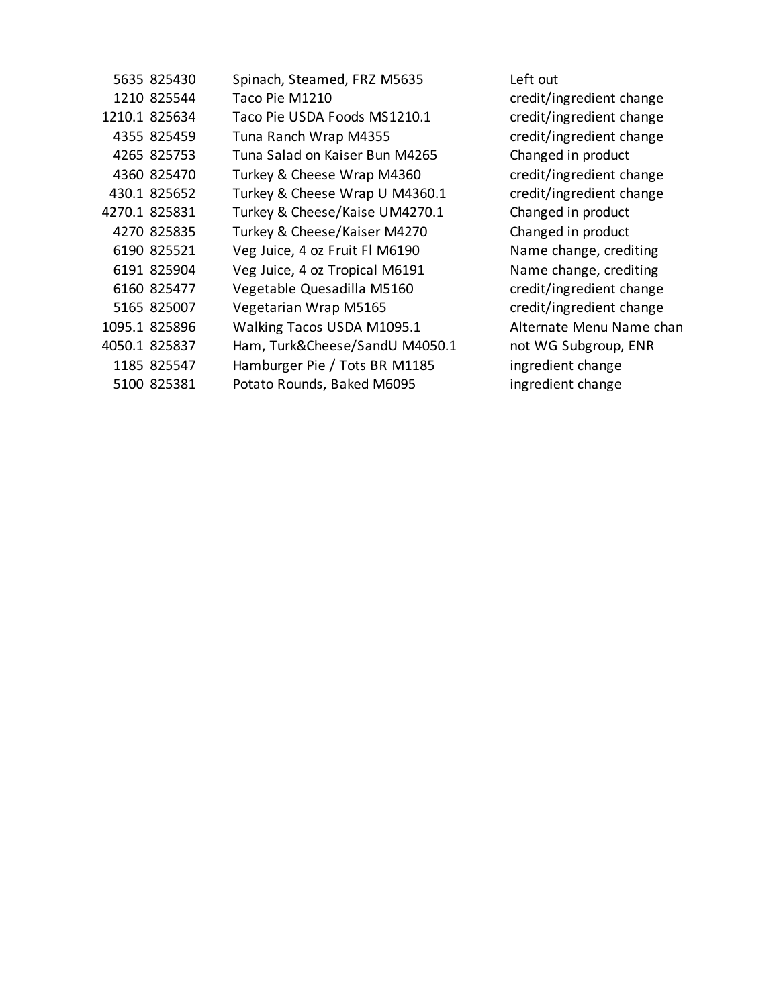| 5635 825430   | Spinach, Steamed, FRZ M5635    | Left out  |
|---------------|--------------------------------|-----------|
| 1210 825544   | Taco Pie M1210                 | credit/ii |
| 1210.1 825634 | Taco Pie USDA Foods MS1210.1   | credit/ii |
| 4355 825459   | Tuna Ranch Wrap M4355          | credit/ii |
| 4265 825753   | Tuna Salad on Kaiser Bun M4265 | Change    |
| 4360 825470   | Turkey & Cheese Wrap M4360     | credit/ii |
| 430.1 825652  | Turkey & Cheese Wrap U M4360.1 | credit/ii |
| 4270.1 825831 | Turkey & Cheese/Kaise UM4270.1 | Change    |
| 4270 825835   | Turkey & Cheese/Kaiser M4270   | Change    |
| 6190 825521   | Veg Juice, 4 oz Fruit Fl M6190 | Name c    |
| 6191 825904   | Veg Juice, 4 oz Tropical M6191 | Name c    |
| 6160 825477   | Vegetable Quesadilla M5160     | credit/ii |
| 5165 825007   | Vegetarian Wrap M5165          | credit/ii |
| 1095.1 825896 | Walking Tacos USDA M1095.1     | Alternat  |
| 4050.1 825837 | Ham, Turk&Cheese/SandU M4050.1 | not WG    |
| 1185 825547   | Hamburger Pie / Tots BR M1185  | ingredie  |
| 5100 825381   | Potato Rounds, Baked M6095     | ingredie  |
|               |                                |           |

credit/ingredient change credit/ingredient change credit/ingredient change Changed in product credit/ingredient change credit/ingredient change Changed in product Changed in product Name change, crediting Name change, crediting credit/ingredient change credit/ingredient change Alternate Menu Name chan 1 approx 1 and WG Subgroup, ENR ingredient change ingredient change